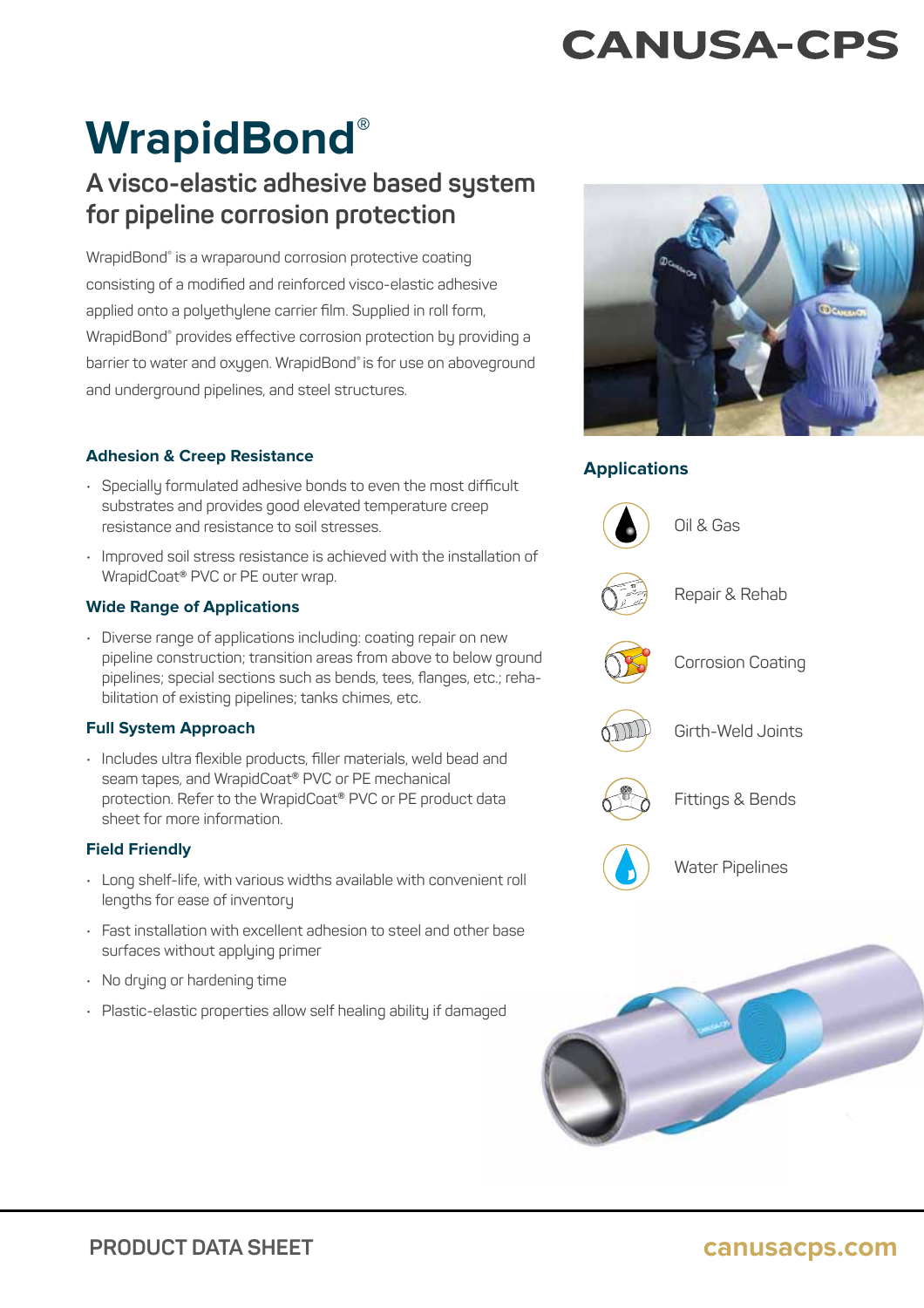# **CANUSA-CPS**

# **WrapidBond®**

# **A visco-elastic adhesive based system for pipeline corrosion protection**

WrapidBond® is a wraparound corrosion protective coating consisting of a modified and reinforced visco-elastic adhesive applied onto a polyethylene carrier film. Supplied in roll form, WrapidBond® provides effective corrosion protection by providing a barrier to water and oxygen. WrapidBond® is for use on aboveground and underground pipelines, and steel structures.

# **Applications Adhesion & Creep Resistance**

- $\cdot$  Specially formulated adhesive bonds to even the most difficult substrates and provides good elevated temperature creep resistance and resistance to soil stresses.
- Improved soil stress resistance is achieved with the installation of WrapidCoat® PVC or PE outer wrap.

## **Wide Range of Applications**

• Diverse range of applications including: coating repair on new pipeline construction; transition areas from above to below ground pipelines; special sections such as bends, tees, flanges, etc.; rehabilitation of existing pipelines; tanks chimes, etc.

## **Full System Approach**

• Includes ultra flexible products, filler materials, weld bead and seam tapes, and WrapidCoat® PVC or PE mechanical protection. Refer to the WrapidCoat® PVC or PE product data sheet for more information.

## **Field Friendly**

- Long shelf-life, with various widths available with convenient roll lengths for ease of inventory
- $\cdot$  Fast installation with excellent adhesion to steel and other base surfaces without applying primer
- No drying or hardening time
- Plastic-elastic properties allow self healing ability if damaged aged